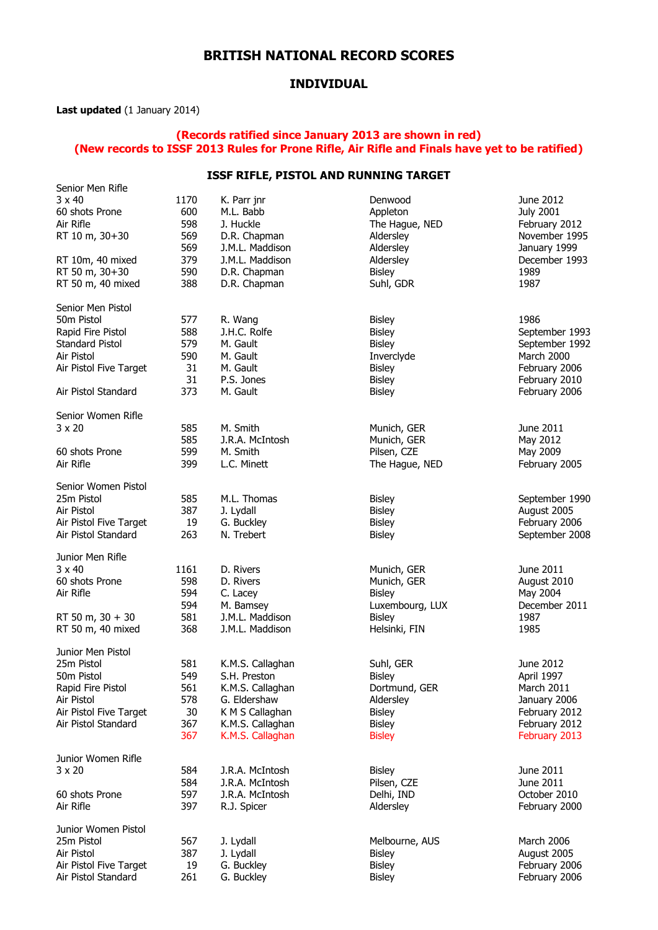## **BRITISH NATIONAL RECORD SCORES**

### **INDIVIDUAL**

**Last updated** (1 January 2014)

#### **(Records ratified since January 2013 are shown in red) (New records to ISSF 2013 Rules for Prone Rifle, Air Rifle and Finals have yet to be ratified)**

#### **ISSF RIFLE, PISTOL AND RUNNING TARGET**

| Senior Men Rifle                |             |                             |                            |                               |  |
|---------------------------------|-------------|-----------------------------|----------------------------|-------------------------------|--|
| $3 \times 40$<br>60 shots Prone | 1170<br>600 | K. Parr jnr<br>M.L. Babb    | Denwood<br>Appleton        | June 2012<br><b>July 2001</b> |  |
| Air Rifle                       | 598         | J. Huckle                   | The Hague, NED             | February 2012                 |  |
| RT 10 m, 30+30                  | 569         | D.R. Chapman                | Aldersley                  | November 1995                 |  |
|                                 | 569         | J.M.L. Maddison             | Aldersley                  | January 1999                  |  |
| RT 10m, 40 mixed                | 379         | J.M.L. Maddison             | Aldersley                  | December 1993                 |  |
| RT 50 m, 30+30                  | 590         | D.R. Chapman                | <b>Bisley</b>              | 1989                          |  |
| RT 50 m, 40 mixed               | 388         | D.R. Chapman                | Suhl, GDR                  | 1987                          |  |
|                                 |             |                             |                            |                               |  |
| Senior Men Pistol               |             |                             |                            |                               |  |
| 50m Pistol                      | 577         | R. Wang                     | <b>Bisley</b>              | 1986                          |  |
| Rapid Fire Pistol               | 588         | J.H.C. Rolfe                | <b>Bisley</b>              | September 1993                |  |
| Standard Pistol                 | 579         | M. Gault                    | <b>Bisley</b>              | September 1992                |  |
| Air Pistol                      | 590         | M. Gault                    | Inverclyde                 | March 2000                    |  |
| Air Pistol Five Target          | 31          | M. Gault                    | Bisley                     | February 2006                 |  |
|                                 | 31          | P.S. Jones                  | <b>Bisley</b>              | February 2010                 |  |
| Air Pistol Standard             | 373         | M. Gault                    | <b>Bisley</b>              | February 2006                 |  |
|                                 |             |                             |                            |                               |  |
| Senior Women Rifle              | 585         |                             |                            | June 2011                     |  |
| $3 \times 20$                   | 585         | M. Smith<br>J.R.A. McIntosh | Munich, GER                | May 2012                      |  |
| 60 shots Prone                  | 599         | M. Smith                    | Munich, GER<br>Pilsen, CZE |                               |  |
| Air Rifle                       | 399         | L.C. Minett                 | The Hague, NED             | May 2009<br>February 2005     |  |
|                                 |             |                             |                            |                               |  |
| Senior Women Pistol             |             |                             |                            |                               |  |
| 25m Pistol                      | 585         | M.L. Thomas                 | <b>Bisley</b>              | September 1990                |  |
| Air Pistol                      | 387         | J. Lydall                   | <b>Bisley</b>              | August 2005                   |  |
| Air Pistol Five Target          | 19          | G. Buckley                  | <b>Bisley</b>              | February 2006                 |  |
| Air Pistol Standard             | 263         | N. Trebert                  | <b>Bisley</b>              | September 2008                |  |
|                                 |             |                             |                            |                               |  |
| Junior Men Rifle                |             |                             |                            |                               |  |
| $3 \times 40$                   | 1161        | D. Rivers                   | Munich, GER                | June 2011                     |  |
| 60 shots Prone                  | 598         | D. Rivers                   | Munich, GER                | August 2010                   |  |
| Air Rifle                       | 594         | C. Lacey                    | <b>Bisley</b>              | May 2004                      |  |
|                                 | 594         | M. Bamsey                   | Luxembourg, LUX            | December 2011                 |  |
| RT 50 m, $30 + 30$              | 581         | J.M.L. Maddison             | <b>Bisley</b>              | 1987                          |  |
| RT 50 m, 40 mixed               | 368         | J.M.L. Maddison             | Helsinki, FIN              | 1985                          |  |
| Junior Men Pistol               |             |                             |                            |                               |  |
| 25m Pistol                      | 581         | K.M.S. Callaghan            | Suhl, GER                  | June 2012                     |  |
| 50m Pistol                      | 549         | S.H. Preston                | Bisley                     | April 1997                    |  |
| Rapid Fire Pistol               | 561         | K.M.S. Callaghan            | Dortmund, GER              | March 2011                    |  |
| Air Pistol                      | 578         | G. Eldershaw                | Aldersley                  | January 2006                  |  |
| Air Pistol Five Target          | 30          | K M S Callaghan             | <b>Bisley</b>              | February 2012                 |  |
| Air Pistol Standard             | 367         | K.M.S. Callaghan            | <b>Bisley</b>              | February 2012                 |  |
|                                 | 367         | K.M.S. Callaghan            | <b>Bisley</b>              | February 2013                 |  |
|                                 |             |                             |                            |                               |  |
| Junior Women Rifle              |             |                             |                            |                               |  |
| $3 \times 20$                   | 584         | J.R.A. McIntosh             | <b>Bisley</b>              | June 2011                     |  |
|                                 | 584         | J.R.A. McIntosh             | Pilsen, CZE                | June 2011                     |  |
| 60 shots Prone                  | 597         | J.R.A. McIntosh             | Delhi, IND                 | October 2010                  |  |
| Air Rifle                       | 397         | R.J. Spicer                 | Aldersley                  | February 2000                 |  |
| Junior Women Pistol             |             |                             |                            |                               |  |
| 25m Pistol                      | 567         | J. Lydall                   | Melbourne, AUS             | March 2006                    |  |
| Air Pistol                      | 387         | J. Lydall                   | <b>Bisley</b>              | August 2005                   |  |
| Air Pistol Five Target          | 19          | G. Buckley                  | <b>Bisley</b>              | February 2006                 |  |
| Air Pistol Standard             | 261         | G. Buckley                  | <b>Bisley</b>              | February 2006                 |  |